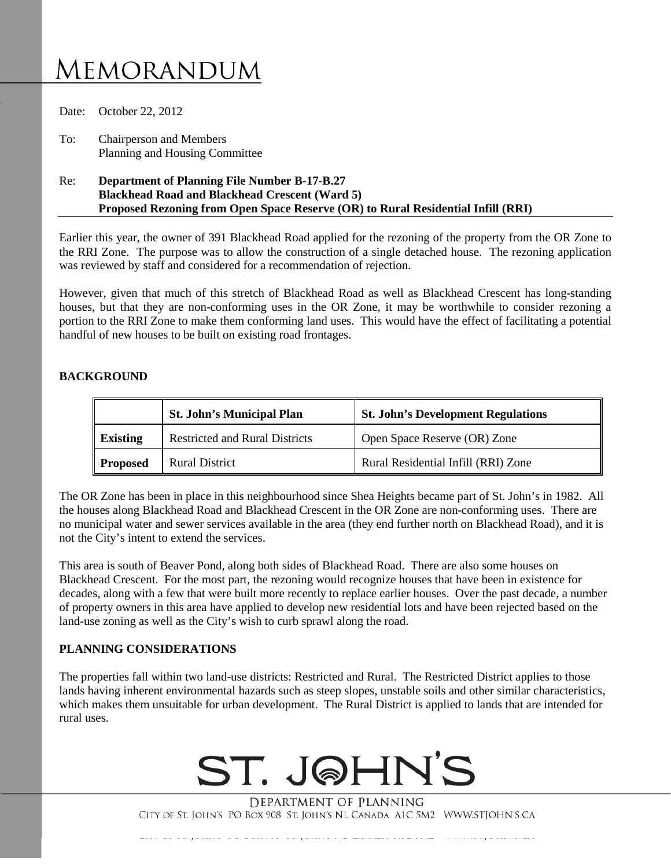# **MEMORANDUM**

Date: October 22, 2012 To: Chairperson and Members Planning and Housing Committee

Re: **Department of Planning File Number B-17-B.27 Blackhead Road and Blackhead Crescent (Ward 5) Proposed Rezoning from Open Space Reserve (OR) to Rural Residential Infill (RRI)**

Earlier this year, the owner of 391 Blackhead Road applied for the rezoning of the property from the OR Zone to the RRI Zone. The purpose was to allow the construction of a single detached house. The rezoning application was reviewed by staff and considered for a recommendation of rejection.

However, given that much of this stretch of Blackhead Road as well as Blackhead Crescent has long-standing houses, but that they are non-conforming uses in the OR Zone, it may be worthwhile to consider rezoning a portion to the RRI Zone to make them conforming land uses. This would have the effect of facilitating a potential handful of new houses to be built on existing road frontages.

## **BACKGROUND**

|                 | <b>St. John's Municipal Plan</b>      | <b>St. John's Development Regulations</b> |
|-----------------|---------------------------------------|-------------------------------------------|
| <b>Existing</b> | <b>Restricted and Rural Districts</b> | Open Space Reserve (OR) Zone              |
| <b>Proposed</b> | <b>Rural District</b>                 | Rural Residential Infill (RRI) Zone       |

The OR Zone has been in place in this neighbourhood since Shea Heights became part of St. John's in 1982. All the houses along Blackhead Road and Blackhead Crescent in the OR Zone are non-conforming uses. There are no municipal water and sewer services available in the area (they end further north on Blackhead Road), and it is not the City's intent to extend the services.

This area is south of Beaver Pond, along both sides of Blackhead Road. There are also some houses on Blackhead Crescent. For the most part, the rezoning would recognize houses that have been in existence for decades, along with a few that were built more recently to replace earlier houses. Over the past decade, a number of property owners in this area have applied to develop new residential lots and have been rejected based on the land-use zoning as well as the City's wish to curb sprawl along the road.

#### **PLANNING CONSIDERATIONS**

The properties fall within two land-use districts: Restricted and Rural. The Restricted District applies to those lands having inherent environmental hazards such as steep slopes, unstable soils and other similar characteristics, which makes them unsuitable for urban development. The Rural District is applied to lands that are intended for rural uses.



DEPARTMENT OF PLANNING CITY OF ST. JOHN'S PO BOX 908 ST. JOHN'S NL CANADA A1C 5M2 WWW.STJOHN'S.CA